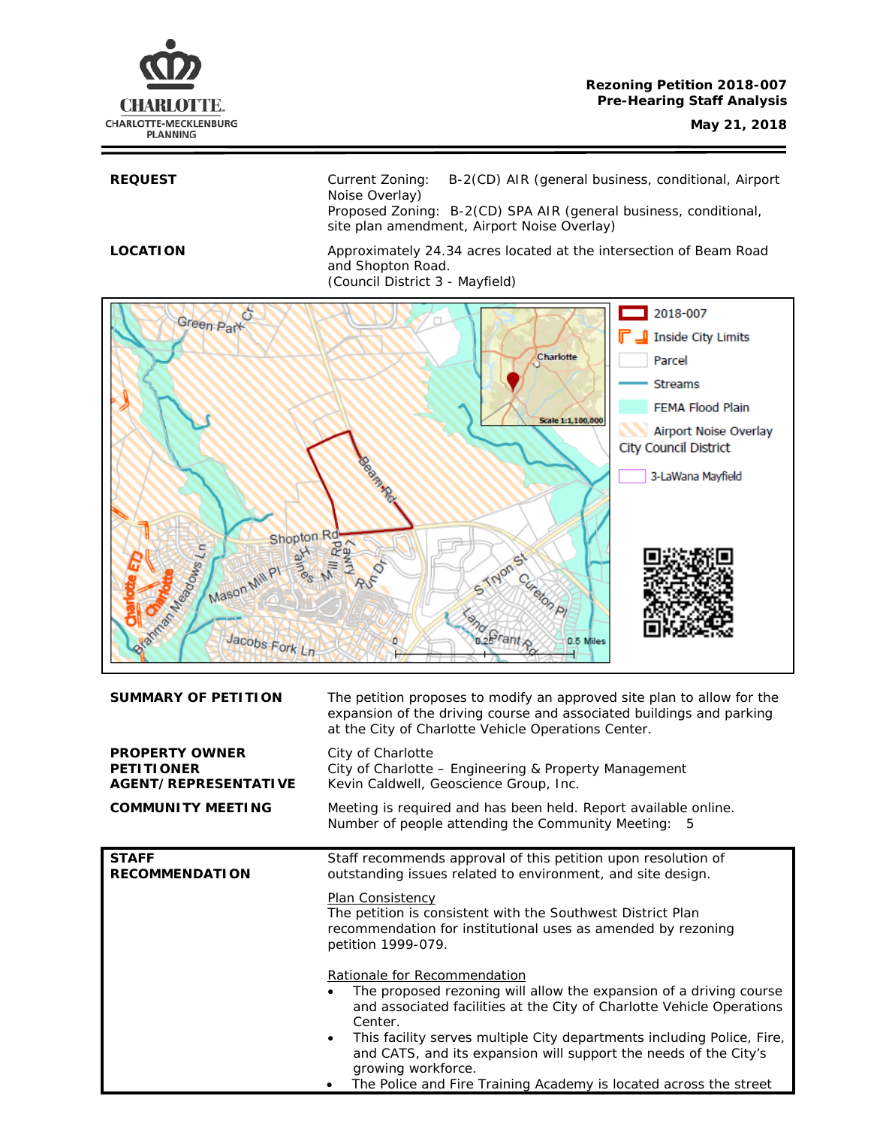

**REQUEST** Current Zoning: B-2(CD) AIR (general business, conditional, Airport Noise Overlay) Proposed Zoning: B-2(CD) SPA AIR (general business, conditional, site plan amendment, Airport Noise Overlay)

**LOCATION** Approximately 24.34 acres located at the intersection of Beam Road and Shopton Road. (Council District 3 - Mayfield)



| <b>SUMMARY OF PETITION</b>                                                | The petition proposes to modify an approved site plan to allow for the<br>expansion of the driving course and associated buildings and parking<br>at the City of Charlotte Vehicle Operations Center.                                                                                                                                                                   |
|---------------------------------------------------------------------------|-------------------------------------------------------------------------------------------------------------------------------------------------------------------------------------------------------------------------------------------------------------------------------------------------------------------------------------------------------------------------|
| <b>PROPERTY OWNER</b><br><b>PETITIONER</b><br><b>AGENT/REPRESENTATIVE</b> | City of Charlotte<br>City of Charlotte – Engineering & Property Management<br>Kevin Caldwell, Geoscience Group, Inc.                                                                                                                                                                                                                                                    |
| <b>COMMUNITY MEETING</b>                                                  | Meeting is required and has been held. Report available online.<br>Number of people attending the Community Meeting: 5                                                                                                                                                                                                                                                  |
| <b>STAFF</b><br><b>RECOMMENDATION</b>                                     | Staff recommends approval of this petition upon resolution of<br>outstanding issues related to environment, and site design.                                                                                                                                                                                                                                            |
|                                                                           | <b>Plan Consistency</b><br>The petition is consistent with the Southwest District Plan<br>recommendation for institutional uses as amended by rezoning<br>petition 1999-079.                                                                                                                                                                                            |
|                                                                           | Rationale for Recommendation<br>The proposed rezoning will allow the expansion of a driving course<br>and associated facilities at the City of Charlotte Vehicle Operations<br>Center.<br>This facility serves multiple City departments including Police, Fire,<br>$\bullet$<br>and CATS, and its expansion will support the needs of the City's<br>growing workforce. |

The Police and Fire Training Academy is located across the street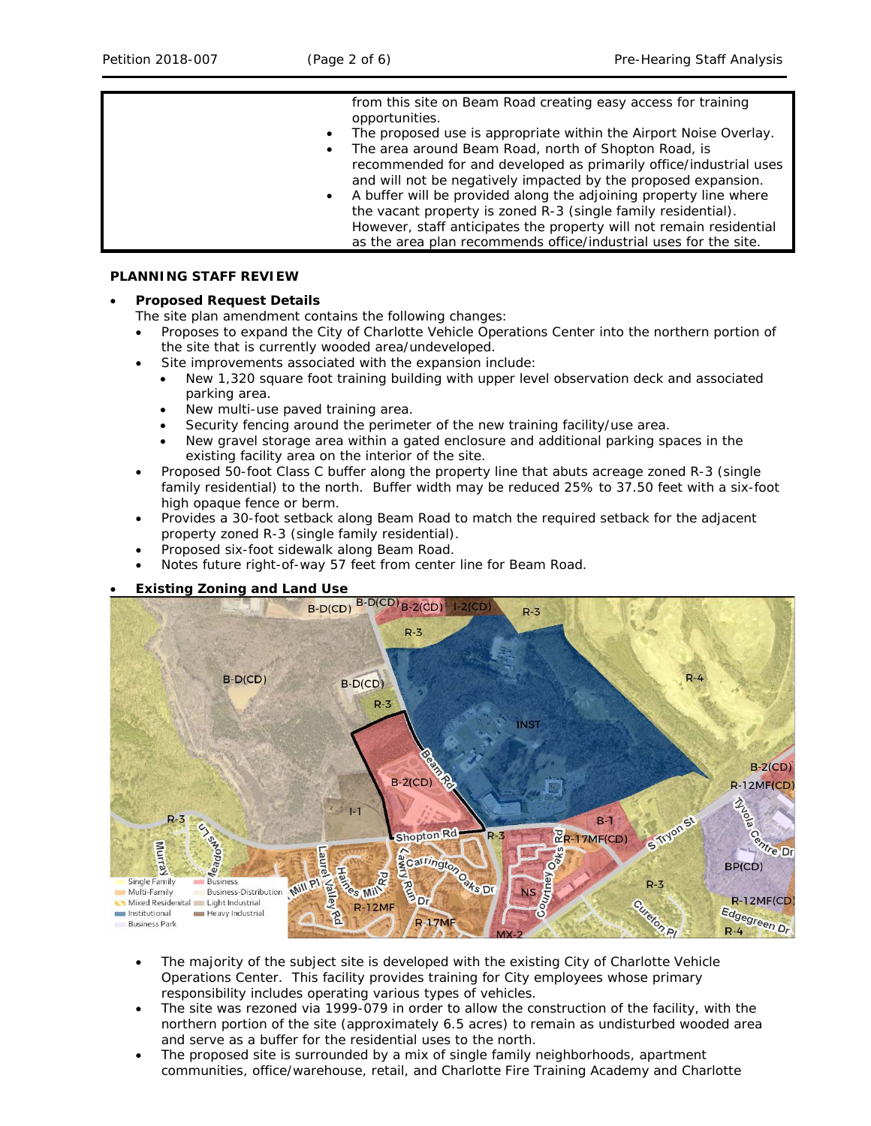### **PLANNING STAFF REVIEW**

### • **Proposed Request Details**

The site plan amendment contains the following changes:

- Proposes to expand the City of Charlotte Vehicle Operations Center into the northern portion of the site that is currently wooded area/undeveloped.
- Site improvements associated with the expansion include:
	- New 1,320 square foot training building with upper level observation deck and associated parking area.
	- New multi-use paved training area.
	- Security fencing around the perimeter of the new training facility/use area.
	- New gravel storage area within a gated enclosure and additional parking spaces in the existing facility area on the interior of the site.
- Proposed 50-foot Class C buffer along the property line that abuts acreage zoned R-3 (single family residential) to the north. Buffer width may be reduced 25% to 37.50 feet with a six-foot high opaque fence or berm.
- Provides a 30-foot setback along Beam Road to match the required setback for the adjacent property zoned R-3 (single family residential).
- Proposed six-foot sidewalk along Beam Road.
- Notes future right-of-way 57 feet from center line for Beam Road.





- The majority of the subject site is developed with the existing City of Charlotte Vehicle Operations Center. This facility provides training for City employees whose primary responsibility includes operating various types of vehicles.
- The site was rezoned via 1999-079 in order to allow the construction of the facility, with the northern portion of the site (approximately 6.5 acres) to remain as undisturbed wooded area and serve as a buffer for the residential uses to the north.
- The proposed site is surrounded by a mix of single family neighborhoods, apartment communities, office/warehouse, retail, and Charlotte Fire Training Academy and Charlotte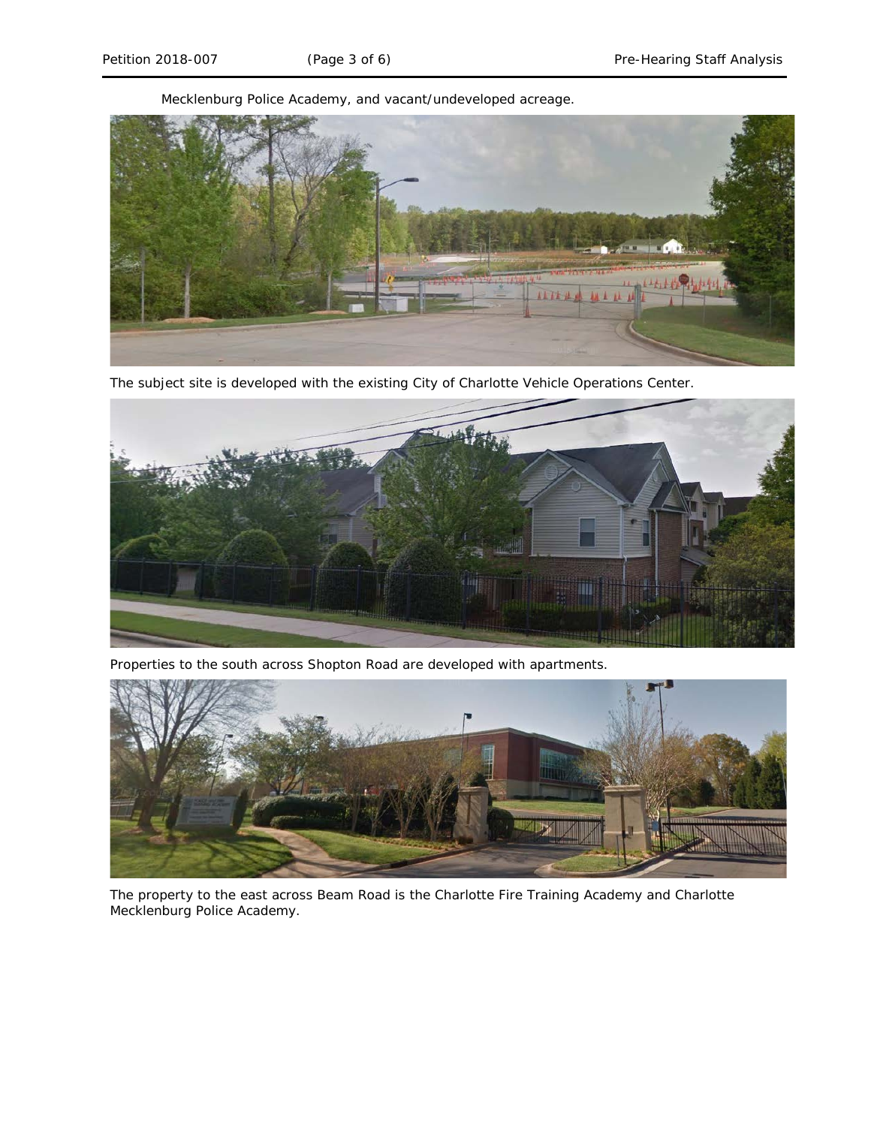Mecklenburg Police Academy, and vacant/undeveloped acreage.



The subject site is developed with the existing City of Charlotte Vehicle Operations Center.



Properties to the south across Shopton Road are developed with apartments.



The property to the east across Beam Road is the Charlotte Fire Training Academy and Charlotte Mecklenburg Police Academy.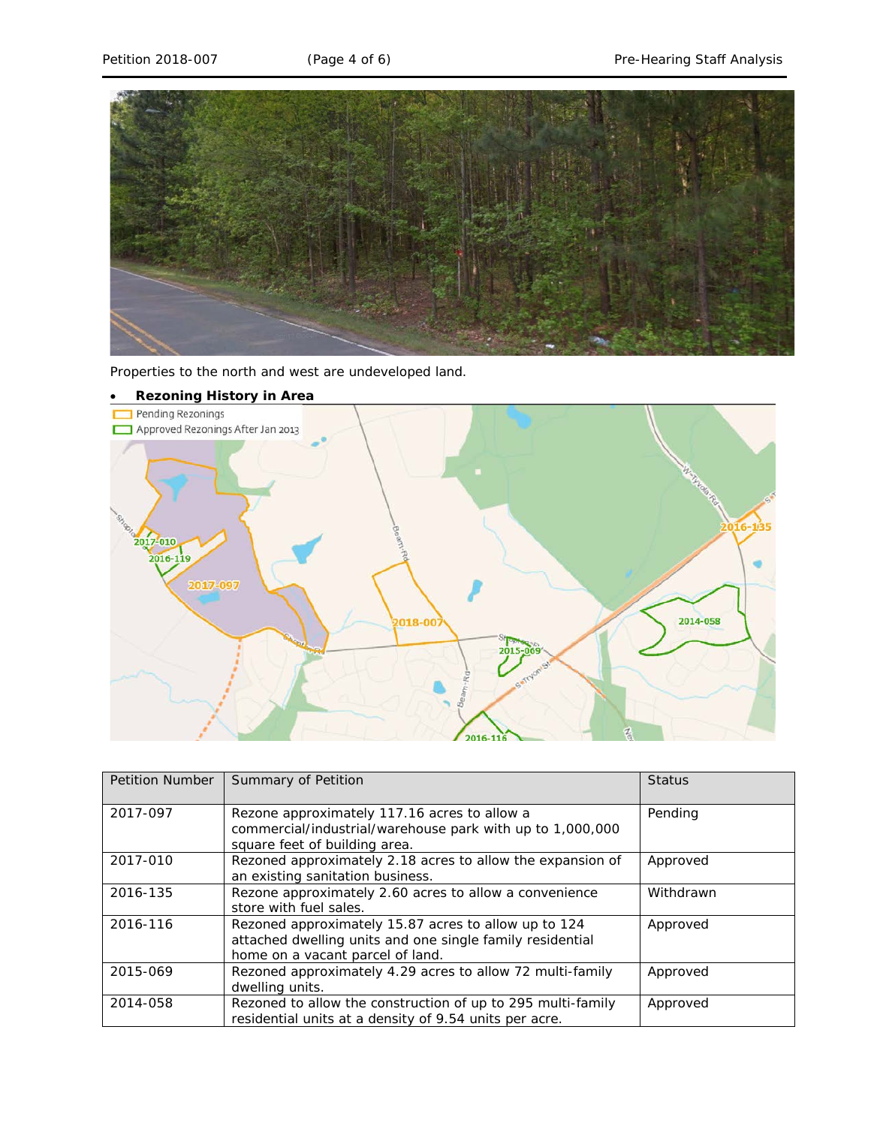

Properties to the north and west are undeveloped land.



| <b>Petition Number</b> | Summary of Petition                                                                                                                                   | <b>Status</b> |
|------------------------|-------------------------------------------------------------------------------------------------------------------------------------------------------|---------------|
| 2017-097               | Rezone approximately 117.16 acres to allow a<br>commercial/industrial/warehouse park with up to 1,000,000<br>square feet of building area.            | Pending       |
| 2017-010               | Rezoned approximately 2.18 acres to allow the expansion of<br>an existing sanitation business.                                                        | Approved      |
| 2016-135               | Rezone approximately 2.60 acres to allow a convenience<br>store with fuel sales.                                                                      | Withdrawn     |
| 2016-116               | Rezoned approximately 15.87 acres to allow up to 124<br>attached dwelling units and one single family residential<br>home on a vacant parcel of land. | Approved      |
| 2015-069               | Rezoned approximately 4.29 acres to allow 72 multi-family<br>dwelling units.                                                                          | Approved      |
| 2014-058               | Rezoned to allow the construction of up to 295 multi-family<br>residential units at a density of 9.54 units per acre.                                 | Approved      |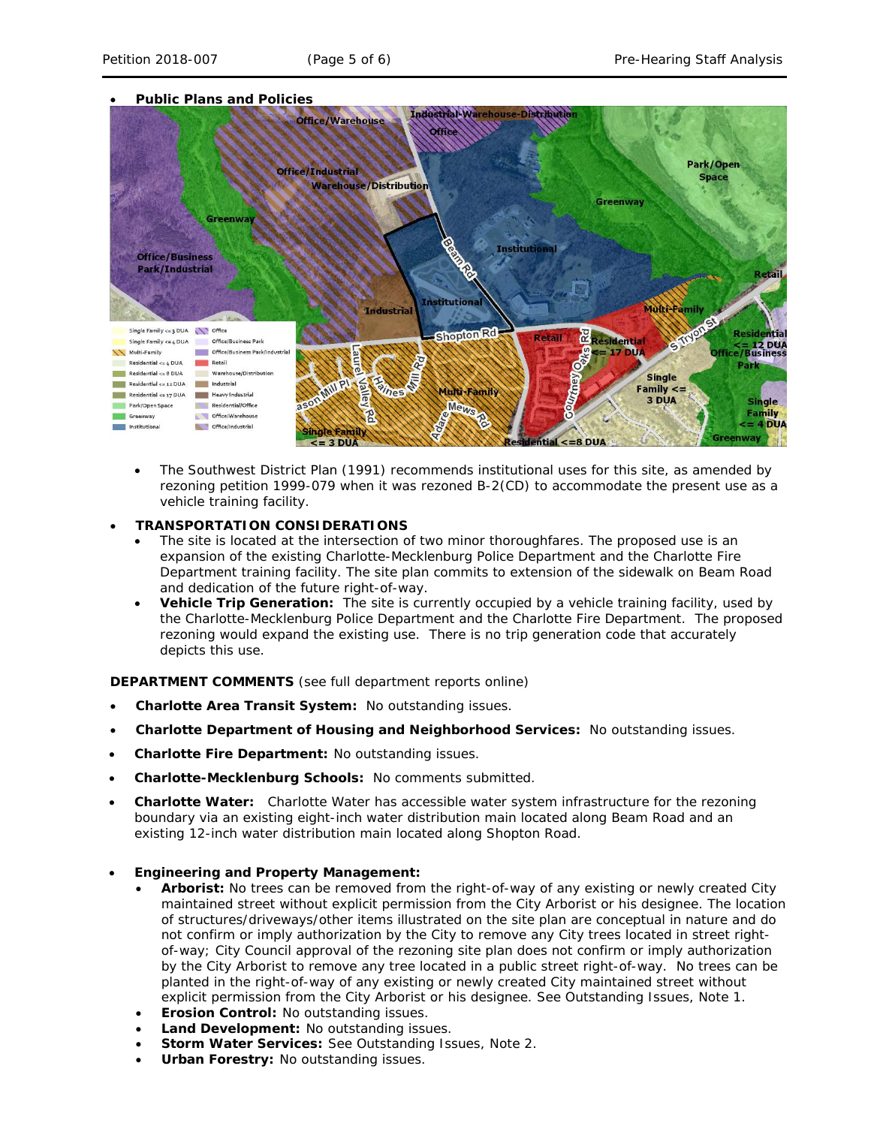

- The *Southwest District Plan* (1991) recommends institutional uses for this site, as amended by rezoning petition 1999-079 when it was rezoned B-2(CD) to accommodate the present use as a vehicle training facility.
- **TRANSPORTATION CONSIDERATIONS**
	- The site is located at the intersection of two minor thoroughfares. The proposed use is an expansion of the existing Charlotte-Mecklenburg Police Department and the Charlotte Fire Department training facility. The site plan commits to extension of the sidewalk on Beam Road and dedication of the future right-of-way.
	- **Vehicle Trip Generation:** The site is currently occupied by a vehicle training facility, used by the Charlotte-Mecklenburg Police Department and the Charlotte Fire Department. The proposed rezoning would expand the existing use. There is no trip generation code that accurately depicts this use.

**DEPARTMENT COMMENTS** (see full department reports online)

- **Charlotte Area Transit System:** No outstanding issues.
- **Charlotte Department of Housing and Neighborhood Services:** No outstanding issues.
- **Charlotte Fire Department:** No outstanding issues.
- **Charlotte-Mecklenburg Schools:** No comments submitted.
- **Charlotte Water:** Charlotte Water has accessible water system infrastructure for the rezoning boundary via an existing eight-inch water distribution main located along Beam Road and an existing 12-inch water distribution main located along Shopton Road.
- **Engineering and Property Management:**
	- **Arborist:** No trees can be removed from the right-of-way of any existing or newly created City maintained street without explicit permission from the City Arborist or his designee. The location of structures/driveways/other items illustrated on the site plan are conceptual in nature and do not confirm or imply authorization by the City to remove any City trees located in street rightof-way; City Council approval of the rezoning site plan does not confirm or imply authorization by the City Arborist to remove any tree located in a public street right-of-way. No trees can be planted in the right-of-way of any existing or newly created City maintained street without explicit permission from the City Arborist or his designee. See Outstanding Issues, Note 1.
	- **Erosion Control:** No outstanding issues.
	- **Land Development:** No outstanding issues.
	- **Storm Water Services:** See Outstanding Issues, Note 2.
	- **Urban Forestry:** No outstanding issues.